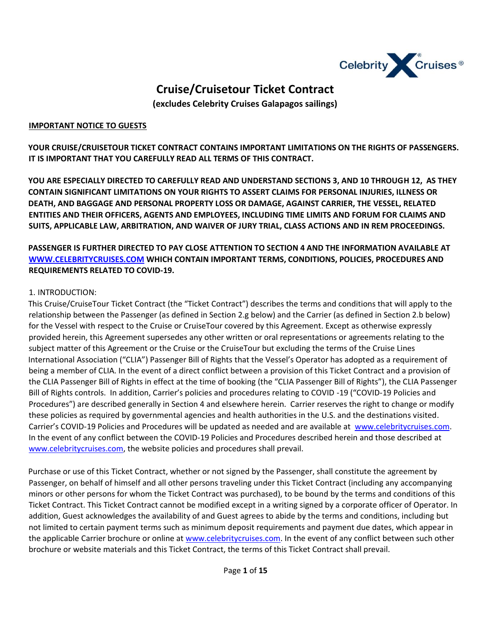

# **Cruise/Cruisetour Ticket Contract**

**(excludes Celebrity Cruises Galapagos sailings)**

#### **IMPORTANT NOTICE TO GUESTS**

**YOUR CRUISE/CRUISETOUR TICKET CONTRACT CONTAINS IMPORTANT LIMITATIONS ON THE RIGHTS OF PASSENGERS. IT IS IMPORTANT THAT YOU CAREFULLY READ ALL TERMS OF THIS CONTRACT.** 

**YOU ARE ESPECIALLY DIRECTED TO CAREFULLY READ AND UNDERSTAND SECTIONS 3, AND 10 THROUGH 12, AS THEY CONTAIN SIGNIFICANT LIMITATIONS ON YOUR RIGHTS TO ASSERT CLAIMS FOR PERSONAL INJURIES, ILLNESS OR DEATH, AND BAGGAGE AND PERSONAL PROPERTY LOSS OR DAMAGE, AGAINST CARRIER, THE VESSEL, RELATED ENTITIES AND THEIR OFFICERS, AGENTS AND EMPLOYEES, INCLUDING TIME LIMITS AND FORUM FOR CLAIMS AND SUITS, APPLICABLE LAW, ARBITRATION, AND WAIVER OF JURY TRIAL, CLASS ACTIONS AND IN REM PROCEEDINGS.** 

## **PASSENGER IS FURTHER DIRECTED TO PAY CLOSE ATTENTION TO SECTION 4 AND THE INFORMATION AVAILABLE AT [WWW.CELEBRITYCRUISES.COM](http://www.celebritycruises.com/) [W](http://www.celebritycruises.com/)HICH CONTAIN IMPORTANT TERMS, CONDITIONS, POLICIES, PROCEDURES AND REQUIREMENTS RELATED TO COVID-19.**

## 1. INTRODUCTION:

This Cruise/CruiseTour Ticket Contract (the "Ticket Contract") describes the terms and conditions that will apply to the relationship between the Passenger (as defined in Section 2.g below) and the Carrier (as defined in Section 2.b below) for the Vessel with respect to the Cruise or CruiseTour covered by this Agreement. Except as otherwise expressly provided herein, this Agreement supersedes any other written or oral representations or agreements relating to the subject matter of this Agreement or the Cruise or the CruiseTour but excluding the terms of the Cruise Lines International Association ("CLIA") Passenger Bill of Rights that the Vessel's Operator has adopted as a requirement of being a member of CLIA. In the event of a direct conflict between a provision of this Ticket Contract and a provision of the CLIA Passenger Bill of Rights in effect at the time of booking (the "CLIA Passenger Bill of Rights"), the CLIA Passenger Bill of Rights controls. In addition, Carrier's policies and procedures relating to COVID -19 ("COVID-19 Policies and Procedures") are described generally in Section 4 and elsewhere herein. Carrier reserves the right to change or modify these policies as required by governmental agencies and health authorities in the U.S. and the destinations visited. Carrier's COVID-19 Policies and Procedures will be updated as needed and are available at [www.celebritycruises.com](http://www.celebritycruises.com/)[.](http://www.royalcaribbean.com/)  In the event of any conflict between the COVID-19 Policies and Procedures described herein and those described at [www.celebritycruises.com](http://www.celebritycruises.com/)[,](http://www.royalcaribbean.com/COVID) the website policies and procedures shall prevail.

Purchase or use of this Ticket Contract, whether or not signed by the Passenger, shall constitute the agreement by Passenger, on behalf of himself and all other persons traveling under this Ticket Contract (including any accompanying minors or other persons for whom the Ticket Contract was purchased), to be bound by the terms and conditions of this Ticket Contract. This Ticket Contract cannot be modified except in a writing signed by a corporate officer of Operator. In addition, Guest acknowledges the availability of and Guest agrees to abide by the terms and conditions, including but not limited to certain payment terms such as minimum deposit requirements and payment due dates, which appear in the applicable Carrier brochure or online at [www.celebritycruises.com](http://www.celebritycruises.com/)[.](http://www.royalcaribbean.com/) In the event of any conflict between such other brochure or website materials and this Ticket Contract, the terms of this Ticket Contract shall prevail.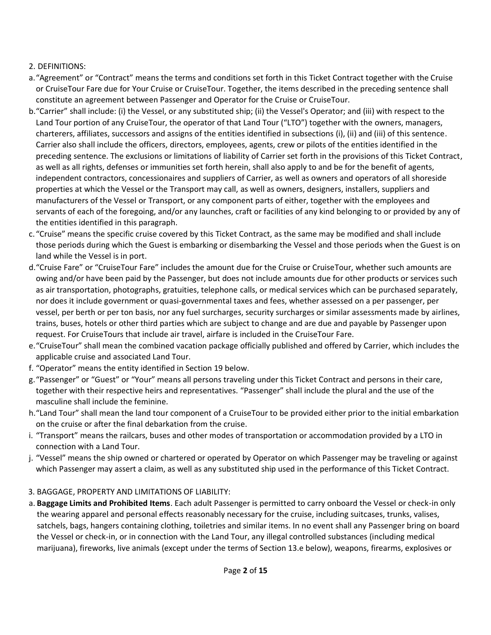# 2. DEFINITIONS:

- a."Agreement" or "Contract" means the terms and conditions set forth in this Ticket Contract together with the Cruise or CruiseTour Fare due for Your Cruise or CruiseTour. Together, the items described in the preceding sentence shall constitute an agreement between Passenger and Operator for the Cruise or CruiseTour.
- b."Carrier" shall include: (i) the Vessel, or any substituted ship; (ii) the Vessel's Operator; and (iii) with respect to the Land Tour portion of any CruiseTour, the operator of that Land Tour ("LTO") together with the owners, managers, charterers, affiliates, successors and assigns of the entities identified in subsections (i), (ii) and (iii) of this sentence. Carrier also shall include the officers, directors, employees, agents, crew or pilots of the entities identified in the preceding sentence. The exclusions or limitations of liability of Carrier set forth in the provisions of this Ticket Contract, as well as all rights, defenses or immunities set forth herein, shall also apply to and be for the benefit of agents, independent contractors, concessionaires and suppliers of Carrier, as well as owners and operators of all shoreside properties at which the Vessel or the Transport may call, as well as owners, designers, installers, suppliers and manufacturers of the Vessel or Transport, or any component parts of either, together with the employees and servants of each of the foregoing, and/or any launches, craft or facilities of any kind belonging to or provided by any of the entities identified in this paragraph.
- c. "Cruise" means the specific cruise covered by this Ticket Contract, as the same may be modified and shall include those periods during which the Guest is embarking or disembarking the Vessel and those periods when the Guest is on land while the Vessel is in port.
- d."Cruise Fare" or "CruiseTour Fare" includes the amount due for the Cruise or CruiseTour, whether such amounts are owing and/or have been paid by the Passenger, but does not include amounts due for other products or services such as air transportation, photographs, gratuities, telephone calls, or medical services which can be purchased separately, nor does it include government or quasi-governmental taxes and fees, whether assessed on a per passenger, per vessel, per berth or per ton basis, nor any fuel surcharges, security surcharges or similar assessments made by airlines, trains, buses, hotels or other third parties which are subject to change and are due and payable by Passenger upon request. For CruiseTours that include air travel, airfare is included in the CruiseTour Fare.
- e."CruiseTour" shall mean the combined vacation package officially published and offered by Carrier, which includes the applicable cruise and associated Land Tour.
- f. "Operator" means the entity identified in Section 19 below.
- g."Passenger" or "Guest" or "Your" means all persons traveling under this Ticket Contract and persons in their care, together with their respective heirs and representatives. "Passenger" shall include the plural and the use of the masculine shall include the feminine.
- h."Land Tour" shall mean the land tour component of a CruiseTour to be provided either prior to the initial embarkation on the cruise or after the final debarkation from the cruise.
- i. "Transport" means the railcars, buses and other modes of transportation or accommodation provided by a LTO in connection with a Land Tour.
- j. "Vessel" means the ship owned or chartered or operated by Operator on which Passenger may be traveling or against which Passenger may assert a claim, as well as any substituted ship used in the performance of this Ticket Contract.

# 3. BAGGAGE, PROPERTY AND LIMITATIONS OF LIABILITY:

a. **Baggage Limits and Prohibited Items**. Each adult Passenger is permitted to carry onboard the Vessel or check-in only the wearing apparel and personal effects reasonably necessary for the cruise, including suitcases, trunks, valises, satchels, bags, hangers containing clothing, toiletries and similar items. In no event shall any Passenger bring on board the Vessel or check-in, or in connection with the Land Tour, any illegal controlled substances (including medical marijuana), fireworks, live animals (except under the terms of Section 13.e below), weapons, firearms, explosives or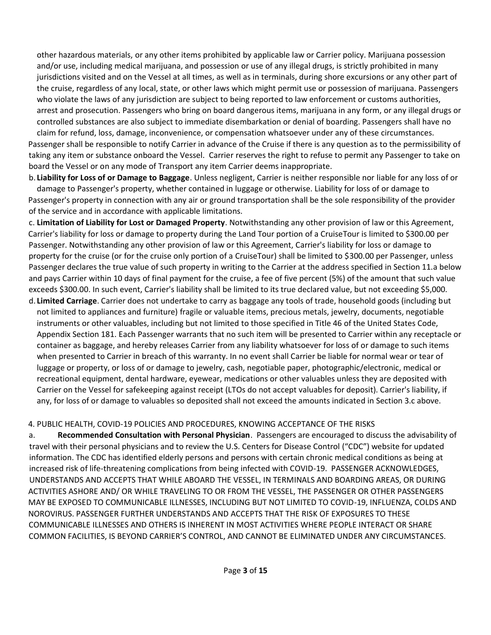other hazardous materials, or any other items prohibited by applicable law or Carrier policy. Marijuana possession and/or use, including medical marijuana, and possession or use of any illegal drugs, is strictly prohibited in many jurisdictions visited and on the Vessel at all times, as well as in terminals, during shore excursions or any other part of the cruise, regardless of any local, state, or other laws which might permit use or possession of marijuana. Passengers who violate the laws of any jurisdiction are subject to being reported to law enforcement or customs authorities, arrest and prosecution. Passengers who bring on board dangerous items, marijuana in any form, or any illegal drugs or controlled substances are also subject to immediate disembarkation or denial of boarding. Passengers shall have no

claim for refund, loss, damage, inconvenience, or compensation whatsoever under any of these circumstances. Passenger shall be responsible to notify Carrier in advance of the Cruise if there is any question as to the permissibility of taking any item or substance onboard the Vessel. Carrier reserves the right to refuse to permit any Passenger to take on board the Vessel or on any mode of Transport any item Carrier deems inappropriate.

b. **Liability for Loss of or Damage to Baggage**. Unless negligent, Carrier is neither responsible nor liable for any loss of or

damage to Passenger's property, whether contained in luggage or otherwise. Liability for loss of or damage to Passenger's property in connection with any air or ground transportation shall be the sole responsibility of the provider of the service and in accordance with applicable limitations.

c. **Limitation of Liability for Lost or Damaged Property**. Notwithstanding any other provision of law or this Agreement, Carrier's liability for loss or damage to property during the Land Tour portion of a CruiseTour is limited to \$300.00 per Passenger. Notwithstanding any other provision of law or this Agreement, Carrier's liability for loss or damage to property for the cruise (or for the cruise only portion of a CruiseTour) shall be limited to \$300.00 per Passenger, unless Passenger declares the true value of such property in writing to the Carrier at the address specified in Section 11.a below and pays Carrier within 10 days of final payment for the cruise, a fee of five percent (5%) of the amount that such value exceeds \$300.00. In such event, Carrier's liability shall be limited to its true declared value, but not exceeding \$5,000.

d. **Limited Carriage**. Carrier does not undertake to carry as baggage any tools of trade, household goods (including but not limited to appliances and furniture) fragile or valuable items, precious metals, jewelry, documents, negotiable instruments or other valuables, including but not limited to those specified in Title 46 of the United States Code, Appendix Section 181. Each Passenger warrants that no such item will be presented to Carrier within any receptacle or container as baggage, and hereby releases Carrier from any liability whatsoever for loss of or damage to such items when presented to Carrier in breach of this warranty. In no event shall Carrier be liable for normal wear or tear of luggage or property, or loss of or damage to jewelry, cash, negotiable paper, photographic/electronic, medical or recreational equipment, dental hardware, eyewear, medications or other valuables unless they are deposited with Carrier on the Vessel for safekeeping against receipt (LTOs do not accept valuables for deposit). Carrier's liability, if any, for loss of or damage to valuables so deposited shall not exceed the amounts indicated in Section 3.c above.

## 4. PUBLIC HEALTH, COVID-19 POLICIES AND PROCEDURES, KNOWING ACCEPTANCE OF THE RISKS

a. **Recommended Consultation with Personal Physician**. Passengers are encouraged to discuss the advisability of travel with their personal physicians and to review the U.S. Centers for Disease Control ("CDC") website for updated information. The CDC has identified elderly persons and persons with certain chronic medical conditions as being at increased risk of life-threatening complications from being infected with COVID-19. PASSENGER ACKNOWLEDGES, UNDERSTANDS AND ACCEPTS THAT WHILE ABOARD THE VESSEL, IN TERMINALS AND BOARDING AREAS, OR DURING ACTIVITIES ASHORE AND/ OR WHILE TRAVELING TO OR FROM THE VESSEL, THE PASSENGER OR OTHER PASSENGERS MAY BE EXPOSED TO COMMUNICABLE ILLNESSES, INCLUDING BUT NOT LIMITED TO COVID-19, INFLUENZA, COLDS AND NOROVIRUS. PASSENGER FURTHER UNDERSTANDS AND ACCEPTS THAT THE RISK OF EXPOSURES TO THESE COMMUNICABLE ILLNESSES AND OTHERS IS INHERENT IN MOST ACTIVITIES WHERE PEOPLE INTERACT OR SHARE COMMON FACILITIES, IS BEYOND CARRIER'S CONTROL, AND CANNOT BE ELIMINATED UNDER ANY CIRCUMSTANCES.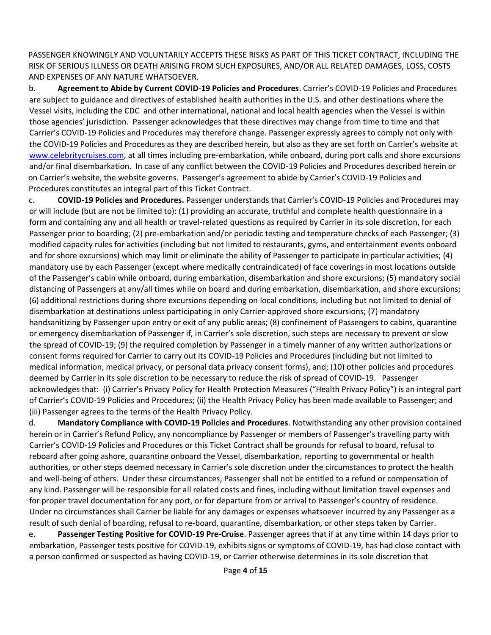PASSENGER KNOWINGLY AND VOLUNTARILY ACCEPTS THESE RISKS AS PART OF THIS TICKET CONTRACT, INCLUDING THE RISK OF SERIOUS ILLNESS OR DEATH ARISING FROM SUCH EXPOSURES, AND/OR ALL RELATED DAMAGES, LOSS, COSTS AND EXPENSES OF ANY NATURE WHATSOEVER.

b. **Agreement to Abide by Current COVID-19 Policies and Procedures**. Carrier's COVID-19 Policies and Procedures are subject to guidance and directives of established health authorities in the U.S. and other destinations where the Vessel visits, including the CDC and other international, national and local health agencies when the Vessel is within those agencies' jurisdiction. Passenger acknowledges that these directives may change from time to time and that Carrier's COVID-19 Policies and Procedures may therefore change. Passenger expressly agrees to comply not only with the COVID-19 Policies and Procedures as they are described herein, but also as they are set forth on Carrier's website at [www.celebritycruises.com](http://www.celebritycruises.com/)[,](http://www.royalcaribbean.com/) at all times including pre-embarkation, while onboard, during port calls and shore excursions and/or final disembarkation. In case of any conflict between the COVID-19 Policies and Procedures described herein or on Carrier's website, the website governs. Passenger's agreement to abide by Carrier's COVID-19 Policies and Procedures constitutes an integral part of this Ticket Contract.

c. **COVID-19 Policies and Procedures.** Passenger understands that Carrier's COVID-19 Policies and Procedures may or will include (but are not be limited to): (1) providing an accurate, truthful and complete health questionnaire in a form and containing any and all health or travel-related questions as required by Carrier in its sole discretion, for each Passenger prior to boarding; (2) pre-embarkation and/or periodic testing and temperature checks of each Passenger; (3) modified capacity rules for activities (including but not limited to restaurants, gyms, and entertainment events onboard and for shore excursions) which may limit or eliminate the ability of Passenger to participate in particular activities; (4) mandatory use by each Passenger (except where medically contraindicated) of face coverings in most locations outside of the Passenger's cabin while onboard, during embarkation, disembarkation and shore excursions; (5) mandatory social distancing of Passengers at any/all times while on board and during embarkation, disembarkation, and shore excursions; (6) additional restrictions during shore excursions depending on local conditions, including but not limited to denial of disembarkation at destinations unless participating in only Carrier-approved shore excursions; (7) mandatory handsanitizing by Passenger upon entry or exit of any public areas; (8) confinement of Passengers to cabins, quarantine or emergency disembarkation of Passenger if, in Carrier's sole discretion, such steps are necessary to prevent or slow the spread of COVID-19; (9) the required completion by Passenger in a timely manner of any written authorizations or consent forms required for Carrier to carry out its COVID-19 Policies and Procedures (including but not limited to medical information, medical privacy, or personal data privacy consent forms), and; (10) other policies and procedures deemed by Carrier in its sole discretion to be necessary to reduce the risk of spread of COVID-19. Passenger acknowledges that: (i) Carrier's Privacy Policy for Health Protection Measures ("Health Privacy Policy") is an integral part of Carrier's COVID-19 Policies and Procedures; (ii) the Health Privacy Policy has been made available to Passenger; and (iii) Passenger agrees to the terms of the Health Privacy Policy.

d. **Mandatory Compliance with COVID-19 Policies and Procedures**. Notwithstanding any other provision contained herein or in Carrier's Refund Policy, any noncompliance by Passenger or members of Passenger's travelling party with Carrier's COVID-19 Policies and Procedures or this Ticket Contract shall be grounds for refusal to board, refusal to reboard after going ashore, quarantine onboard the Vessel, disembarkation, reporting to governmental or health authorities, or other steps deemed necessary in Carrier's sole discretion under the circumstances to protect the health and well-being of others. Under these circumstances, Passenger shall not be entitled to a refund or compensation of any kind. Passenger will be responsible for all related costs and fines, including without limitation travel expenses and for proper travel documentation for any port, or for departure from or arrival to Passenger's country of residence. Under no circumstances shall Carrier be liable for any damages or expenses whatsoever incurred by any Passenger as a result of such denial of boarding, refusal to re-board, quarantine, disembarkation, or other steps taken by Carrier.

e. **Passenger Testing Positive for COVID-19 Pre-Cruise**. Passenger agrees that if at any time within 14 days prior to embarkation, Passenger tests positive for COVID-19, exhibits signs or symptoms of COVID-19, has had close contact with a person confirmed or suspected as having COVID-19, or Carrier otherwise determines in its sole discretion that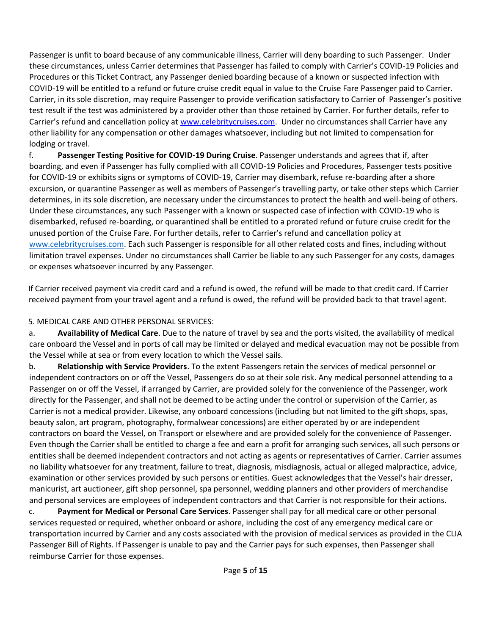Passenger is unfit to board because of any communicable illness, Carrier will deny boarding to such Passenger. Under these circumstances, unless Carrier determines that Passenger has failed to comply with Carrier's COVID-19 Policies and Procedures or this Ticket Contract, any Passenger denied boarding because of a known or suspected infection with COVID-19 will be entitled to a refund or future cruise credit equal in value to the Cruise Fare Passenger paid to Carrier. Carrier, in its sole discretion, may require Passenger to provide verification satisfactory to Carrier of Passenger's positive test result if the test was administered by a provider other than those retained by Carrier. For further details, refer to Carrier's refund and cancellation policy at [www.celebritycruises.com.](https://www.celebritycruises.com/content/dam/celebrity/pdf/cel-covid-19-cancellations-and-refunds-policy.pdf)Under no circumstances shall Carrier have any other liability for any compensation or other damages whatsoever, including but not limited to compensation for lodging or travel.

f. **Passenger Testing Positive for COVID-19 During Cruise**. Passenger understands and agrees that if, after boarding, and even if Passenger has fully complied with all COVID-19 Policies and Procedures, Passenger tests positive for COVID-19 or exhibits signs or symptoms of COVID-19, Carrier may disembark, refuse re-boarding after a shore excursion, or quarantine Passenger as well as members of Passenger's travelling party, or take other steps which Carrier determines, in its sole discretion, are necessary under the circumstances to protect the health and well-being of others. Under these circumstances, any such Passenger with a known or suspected case of infection with COVID-19 who is disembarked, refused re-boarding, or quarantined shall be entitled to a prorated refund or future cruise credit for the unused portion of the Cruise Fare. For further details, refer to Carrier's refund and cancellation policy at [www.celebritycruises.com.](https://www.celebritycruises.com/content/dam/celebrity/pdf/cel-covid-19-cancellations-and-refunds-policy.pdf) Each such Passenger is responsible for all other related costs and fines, including without limitation travel expenses. Under no circumstances shall Carrier be liable to any such Passenger for any costs, damages or expenses whatsoever incurred by any Passenger.

If Carrier received payment via credit card and a refund is owed, the refund will be made to that credit card. If Carrier received payment from your travel agent and a refund is owed, the refund will be provided back to that travel agent.

## 5. MEDICAL CARE AND OTHER PERSONAL SERVICES:

a. **Availability of Medical Care**. Due to the nature of travel by sea and the ports visited, the availability of medical care onboard the Vessel and in ports of call may be limited or delayed and medical evacuation may not be possible from the Vessel while at sea or from every location to which the Vessel sails.

b. **Relationship with Service Providers**. To the extent Passengers retain the services of medical personnel or independent contractors on or off the Vessel, Passengers do so at their sole risk. Any medical personnel attending to a Passenger on or off the Vessel, if arranged by Carrier, are provided solely for the convenience of the Passenger, work directly for the Passenger, and shall not be deemed to be acting under the control or supervision of the Carrier, as Carrier is not a medical provider. Likewise, any onboard concessions (including but not limited to the gift shops, spas, beauty salon, art program, photography, formalwear concessions) are either operated by or are independent contractors on board the Vessel, on Transport or elsewhere and are provided solely for the convenience of Passenger. Even though the Carrier shall be entitled to charge a fee and earn a profit for arranging such services, all such persons or entities shall be deemed independent contractors and not acting as agents or representatives of Carrier. Carrier assumes no liability whatsoever for any treatment, failure to treat, diagnosis, misdiagnosis, actual or alleged malpractice, advice, examination or other services provided by such persons or entities. Guest acknowledges that the Vessel's hair dresser, manicurist, art auctioneer, gift shop personnel, spa personnel, wedding planners and other providers of merchandise and personal services are employees of independent contractors and that Carrier is not responsible for their actions.

c. **Payment for Medical or Personal Care Services**. Passenger shall pay for all medical care or other personal services requested or required, whether onboard or ashore, including the cost of any emergency medical care or transportation incurred by Carrier and any costs associated with the provision of medical services as provided in the CLIA Passenger Bill of Rights. If Passenger is unable to pay and the Carrier pays for such expenses, then Passenger shall reimburse Carrier for those expenses.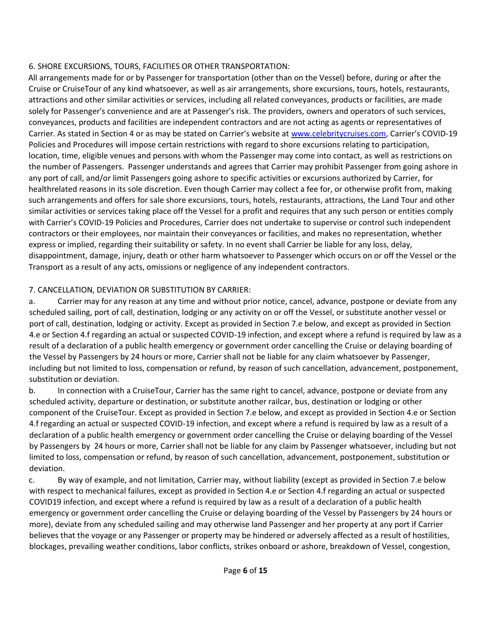## 6. SHORE EXCURSIONS, TOURS, FACILITIES OR OTHER TRANSPORTATION:

All arrangements made for or by Passenger for transportation (other than on the Vessel) before, during or after the Cruise or CruiseTour of any kind whatsoever, as well as air arrangements, shore excursions, tours, hotels, restaurants, attractions and other similar activities or services, including all related conveyances, products or facilities, are made solely for Passenger's convenience and are at Passenger's risk. The providers, owners and operators of such services, conveyances, products and facilities are independent contractors and are not acting as agents or representatives of Carrier. As stated in Section 4 or as may be stated on Carrier's website at [www.celebritycruises.com](http://www.celebritycruises.com/)[,](http://www.royalcaribbean.com/) Carrier's COVID-19 Policies and Procedures will impose certain restrictions with regard to shore excursions relating to participation, location, time, eligible venues and persons with whom the Passenger may come into contact, as well as restrictions on the number of Passengers. Passenger understands and agrees that Carrier may prohibit Passenger from going ashore in any port of call, and/or limit Passengers going ashore to specific activities or excursions authorized by Carrier, for healthrelated reasons in its sole discretion. Even though Carrier may collect a fee for, or otherwise profit from, making such arrangements and offers for sale shore excursions, tours, hotels, restaurants, attractions, the Land Tour and other similar activities or services taking place off the Vessel for a profit and requires that any such person or entities comply with Carrier's COVID-19 Policies and Procedures, Carrier does not undertake to supervise or control such independent contractors or their employees, nor maintain their conveyances or facilities, and makes no representation, whether express or implied, regarding their suitability or safety. In no event shall Carrier be liable for any loss, delay, disappointment, damage, injury, death or other harm whatsoever to Passenger which occurs on or off the Vessel or the Transport as a result of any acts, omissions or negligence of any independent contractors.

# 7. CANCELLATION, DEVIATION OR SUBSTITUTION BY CARRIER:

a. Carrier may for any reason at any time and without prior notice, cancel, advance, postpone or deviate from any scheduled sailing, port of call, destination, lodging or any activity on or off the Vessel, or substitute another vessel or port of call, destination, lodging or activity. Except as provided in Section 7.e below, and except as provided in Section 4.e or Section 4.f regarding an actual or suspected COVID-19 infection, and except where a refund is required by law as a result of a declaration of a public health emergency or government order cancelling the Cruise or delaying boarding of the Vessel by Passengers by 24 hours or more, Carrier shall not be liable for any claim whatsoever by Passenger, including but not limited to loss, compensation or refund, by reason of such cancellation, advancement, postponement, substitution or deviation.

b. In connection with a CruiseTour, Carrier has the same right to cancel, advance, postpone or deviate from any scheduled activity, departure or destination, or substitute another railcar, bus, destination or lodging or other component of the CruiseTour. Except as provided in Section 7.e below, and except as provided in Section 4.e or Section 4.f regarding an actual or suspected COVID-19 infection, and except where a refund is required by law as a result of a declaration of a public health emergency or government order cancelling the Cruise or delaying boarding of the Vessel by Passengers by 24 hours or more, Carrier shall not be liable for any claim by Passenger whatsoever, including but not limited to loss, compensation or refund, by reason of such cancellation, advancement, postponement, substitution or deviation.

c. By way of example, and not limitation, Carrier may, without liability (except as provided in Section 7.e below with respect to mechanical failures, except as provided in Section 4.e or Section 4.f regarding an actual or suspected COVID19 infection, and except where a refund is required by law as a result of a declaration of a public health emergency or government order cancelling the Cruise or delaying boarding of the Vessel by Passengers by 24 hours or more), deviate from any scheduled sailing and may otherwise land Passenger and her property at any port if Carrier believes that the voyage or any Passenger or property may be hindered or adversely affected as a result of hostilities, blockages, prevailing weather conditions, labor conflicts, strikes onboard or ashore, breakdown of Vessel, congestion,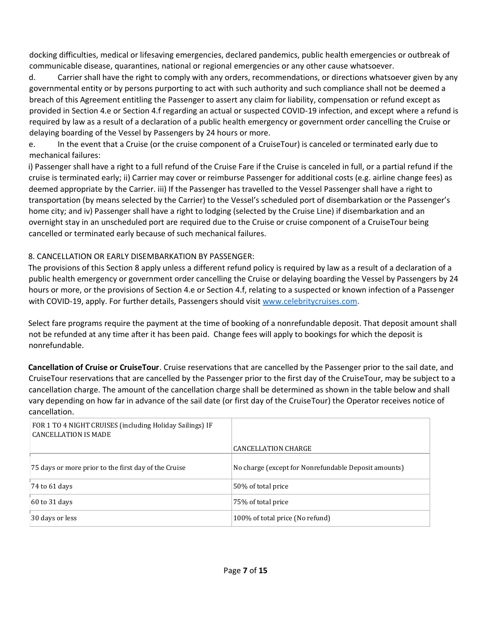docking difficulties, medical or lifesaving emergencies, declared pandemics, public health emergencies or outbreak of communicable disease, quarantines, national or regional emergencies or any other cause whatsoever.

d. Carrier shall have the right to comply with any orders, recommendations, or directions whatsoever given by any governmental entity or by persons purporting to act with such authority and such compliance shall not be deemed a breach of this Agreement entitling the Passenger to assert any claim for liability, compensation or refund except as provided in Section 4.e or Section 4.f regarding an actual or suspected COVID-19 infection, and except where a refund is required by law as a result of a declaration of a public health emergency or government order cancelling the Cruise or delaying boarding of the Vessel by Passengers by 24 hours or more.

e. In the event that a Cruise (or the cruise component of a CruiseTour) is canceled or terminated early due to mechanical failures:

i) Passenger shall have a right to a full refund of the Cruise Fare if the Cruise is canceled in full, or a partial refund if the cruise is terminated early; ii) Carrier may cover or reimburse Passenger for additional costs (e.g. airline change fees) as deemed appropriate by the Carrier. iii) If the Passenger has travelled to the Vessel Passenger shall have a right to transportation (by means selected by the Carrier) to the Vessel's scheduled port of disembarkation or the Passenger's home city; and iv) Passenger shall have a right to lodging (selected by the Cruise Line) if disembarkation and an overnight stay in an unscheduled port are required due to the Cruise or cruise component of a CruiseTour being cancelled or terminated early because of such mechanical failures.

## 8. CANCELLATION OR EARLY DISEMBARKATION BY PASSENGER:

The provisions of this Section 8 apply unless a different refund policy is required by law as a result of a declaration of a public health emergency or government order cancelling the Cruise or delaying boarding the Vessel by Passengers by 24 hours or more, or the provisions of Section 4.e or Section 4.f, relating to a suspected or known infection of a Passenger with COVID-19, apply. For further details, Passengers should visi[t www.celebritycruises.com.](https://www.celebritycruises.com/content/dam/celebrity/pdf/cel-covid-19-cancellations-and-refunds-policy.pdf)

Select fare programs require the payment at the time of booking of a nonrefundable deposit. That deposit amount shall not be refunded at any time after it has been paid. Change fees will apply to bookings for which the deposit is nonrefundable.

**Cancellation of Cruise or CruiseTour**. Cruise reservations that are cancelled by the Passenger prior to the sail date, and CruiseTour reservations that are cancelled by the Passenger prior to the first day of the CruiseTour, may be subject to a cancellation charge. The amount of the cancellation charge shall be determined as shown in the table below and shall vary depending on how far in advance of the sail date (or first day of the CruiseTour) the Operator receives notice of cancellation.

| FOR 1 TO 4 NIGHT CRUISES (including Holiday Sailings) IF<br><b>CANCELLATION IS MADE</b> |                                                      |
|-----------------------------------------------------------------------------------------|------------------------------------------------------|
|                                                                                         | <b>CANCELLATION CHARGE</b>                           |
| 75 days or more prior to the first day of the Cruise                                    | No charge (except for Nonrefundable Deposit amounts) |
| 74 to 61 days                                                                           | 50% of total price                                   |
| $60$ to 31 days                                                                         | 75% of total price                                   |
| 30 days or less                                                                         | 100% of total price (No refund)                      |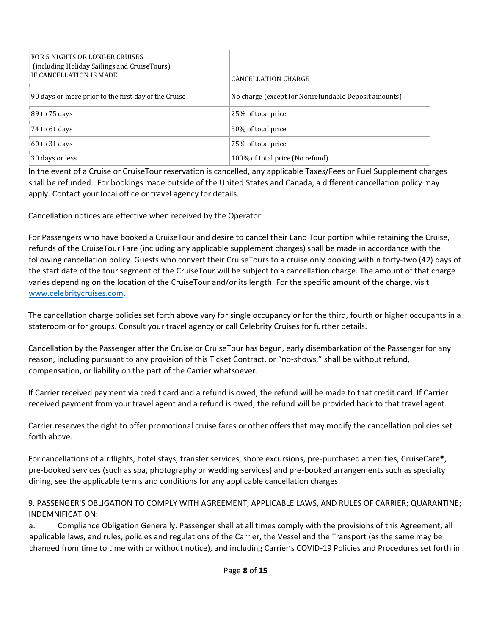| FOR 5 NIGHTS OR LONGER CRUISES<br>(including Holiday Sailings and CruiseTours)<br>IF CANCELLATION IS MADE | <b>CANCELLATION CHARGE</b>                           |
|-----------------------------------------------------------------------------------------------------------|------------------------------------------------------|
| 90 days or more prior to the first day of the Cruise                                                      | No charge (except for Nonrefundable Deposit amounts) |
| 89 to 75 days                                                                                             | 25% of total price                                   |
| 74 to 61 days                                                                                             | 50% of total price                                   |
| $60$ to 31 days                                                                                           | 75% of total price                                   |
| 30 days or less                                                                                           | 100% of total price (No refund)                      |

In the event of a Cruise or CruiseTour reservation is cancelled, any applicable Taxes/Fees or Fuel Supplement charges shall be refunded. For bookings made outside of the United States and Canada, a different cancellation policy may apply. Contact your local office or travel agency for details.

Cancellation notices are effective when received by the Operator.

For Passengers who have booked a CruiseTour and desire to cancel their Land Tour portion while retaining the Cruise, refunds of the CruiseTour Fare (including any applicable supplement charges) shall be made in accordance with the following cancellation policy. Guests who convert their CruiseTours to a cruise only booking within forty-two (42) days of the start date of the tour segment of the CruiseTour will be subject to a cancellation charge. The amount of that charge varies depending on the location of the CruiseTour and/or its length. For the specific amount of the charge, visit [www.celebritycruises.com.](http://www.celebritycruises.com/)

The cancellation charge policies set forth above vary for single occupancy or for the third, fourth or higher occupants in a stateroom or for groups. Consult your travel agency or call Celebrity Cruises for further details.

Cancellation by the Passenger after the Cruise or CruiseTour has begun, early disembarkation of the Passenger for any reason, including pursuant to any provision of this Ticket Contract, or "no-shows," shall be without refund, compensation, or liability on the part of the Carrier whatsoever.

If Carrier received payment via credit card and a refund is owed, the refund will be made to that credit card. If Carrier received payment from your travel agent and a refund is owed, the refund will be provided back to that travel agent.

Carrier reserves the right to offer promotional cruise fares or other offers that may modify the cancellation policies set forth above.

For cancellations of air flights, hotel stays, transfer services, shore excursions, pre-purchased amenities, CruiseCare®, pre-booked services (such as spa, photography or wedding services) and pre-booked arrangements such as specialty dining, see the applicable terms and conditions for any applicable cancellation charges.

9. PASSENGER'S OBLIGATION TO COMPLY WITH AGREEMENT, APPLICABLE LAWS, AND RULES OF CARRIER; QUARANTINE; INDEMNIFICATION:

a. Compliance Obligation Generally. Passenger shall at all times comply with the provisions of this Agreement, all applicable laws, and rules, policies and regulations of the Carrier, the Vessel and the Transport (as the same may be changed from time to time with or without notice), and including Carrier's COVID-19 Policies and Procedures set forth in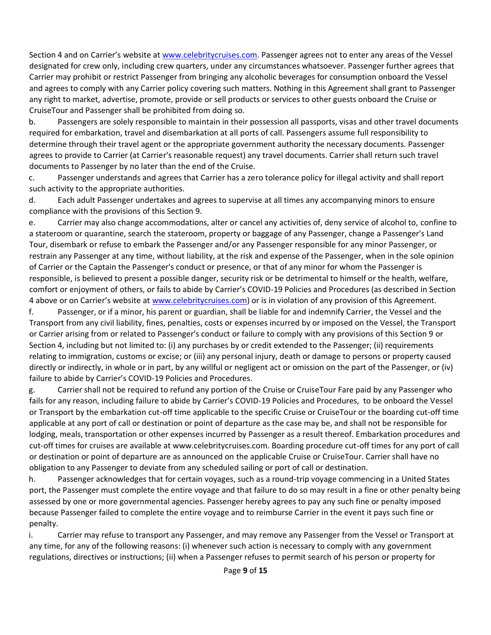Section 4 and on Carrier's website at [www.celebritycruises.com](http://www.celebritycruises.com/)[.](http://www.royalcaribbean.com/COVID) Passenger agrees not to enter any areas of the Vessel designated for crew only, including crew quarters, under any circumstances whatsoever. Passenger further agrees that Carrier may prohibit or restrict Passenger from bringing any alcoholic beverages for consumption onboard the Vessel and agrees to comply with any Carrier policy covering such matters. Nothing in this Agreement shall grant to Passenger any right to market, advertise, promote, provide or sell products or services to other guests onboard the Cruise or CruiseTour and Passenger shall be prohibited from doing so.

b. Passengers are solely responsible to maintain in their possession all passports, visas and other travel documents required for embarkation, travel and disembarkation at all ports of call. Passengers assume full responsibility to determine through their travel agent or the appropriate government authority the necessary documents. Passenger agrees to provide to Carrier (at Carrier's reasonable request) any travel documents. Carrier shall return such travel documents to Passenger by no later than the end of the Cruise.

c. Passenger understands and agrees that Carrier has a zero tolerance policy for illegal activity and shall report such activity to the appropriate authorities.

d. Each adult Passenger undertakes and agrees to supervise at all times any accompanying minors to ensure compliance with the provisions of this Section 9.

e. Carrier may also change accommodations, alter or cancel any activities of, deny service of alcohol to, confine to a stateroom or quarantine, search the stateroom, property or baggage of any Passenger, change a Passenger's Land Tour, disembark or refuse to embark the Passenger and/or any Passenger responsible for any minor Passenger, or restrain any Passenger at any time, without liability, at the risk and expense of the Passenger, when in the sole opinion of Carrier or the Captain the Passenger's conduct or presence, or that of any minor for whom the Passenger is responsible, is believed to present a possible danger, security risk or be detrimental to himself or the health, welfare, comfort or enjoyment of others, or fails to abide by Carrier's COVID-19 Policies and Procedures (as described in Section 4 above or on Carrier's website at [www.celebritycruises.com\)](http://www.celebritycruises.com/) or is in violation of any provision of this Agreement.

f. Passenger, or if a minor, his parent or guardian, shall be liable for and indemnify Carrier, the Vessel and the Transport from any civil liability, fines, penalties, costs or expenses incurred by or imposed on the Vessel, the Transport or Carrier arising from or related to Passenger's conduct or failure to comply with any provisions of this Section 9 or Section 4, including but not limited to: (i) any purchases by or credit extended to the Passenger; (ii) requirements relating to immigration, customs or excise; or (iii) any personal injury, death or damage to persons or property caused directly or indirectly, in whole or in part, by any willful or negligent act or omission on the part of the Passenger, or (iv) failure to abide by Carrier's COVID-19 Policies and Procedures.

g. Carrier shall not be required to refund any portion of the Cruise or CruiseTour Fare paid by any Passenger who fails for any reason, including failure to abide by Carrier's COVID-19 Policies and Procedures, to be onboard the Vessel or Transport by the embarkation cut-off time applicable to the specific Cruise or CruiseTour or the boarding cut-off time applicable at any port of call or destination or point of departure as the case may be, and shall not be responsible for lodging, meals, transportation or other expenses incurred by Passenger as a result thereof. Embarkation procedures and cut-off times for cruises are available at www.celebritycruises.com. Boarding procedure cut-off times for any port of call or destination or point of departure are as announced on the applicable Cruise or CruiseTour. Carrier shall have no obligation to any Passenger to deviate from any scheduled sailing or port of call or destination.

h. Passenger acknowledges that for certain voyages, such as a round-trip voyage commencing in a United States port, the Passenger must complete the entire voyage and that failure to do so may result in a fine or other penalty being assessed by one or more governmental agencies. Passenger hereby agrees to pay any such fine or penalty imposed because Passenger failed to complete the entire voyage and to reimburse Carrier in the event it pays such fine or penalty.

i. Carrier may refuse to transport any Passenger, and may remove any Passenger from the Vessel or Transport at any time, for any of the following reasons: (i) whenever such action is necessary to comply with any government regulations, directives or instructions; (ii) when a Passenger refuses to permit search of his person or property for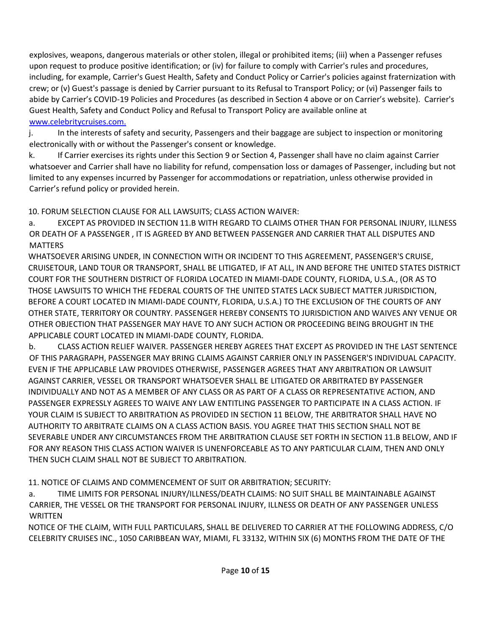explosives, weapons, dangerous materials or other stolen, illegal or prohibited items; (iii) when a Passenger refuses upon request to produce positive identification; or (iv) for failure to comply with Carrier's rules and procedures, including, for example, Carrier's Guest Health, Safety and Conduct Policy or Carrier's policies against fraternization with crew; or (v) Guest's passage is denied by Carrier pursuant to its Refusal to Transport Policy; or (vi) Passenger fails to abide by Carrier's COVID-19 Policies and Procedures (as described in Section 4 above or on Carrier's website). Carrier's Guest Health, Safety and Conduct Policy and Refusal to Transport Policy are available online a[t](http://www.royalcaribbean.com/) [www.celebritycruises.com](http://www.celebritycruises.com/)[.](http://www.royalcaribbean.com/) 

j. In the interests of safety and security, Passengers and their baggage are subject to inspection or monitoring electronically with or without the Passenger's consent or knowledge.

k. If Carrier exercises its rights under this Section 9 or Section 4, Passenger shall have no claim against Carrier whatsoever and Carrier shall have no liability for refund, compensation loss or damages of Passenger, including but not limited to any expenses incurred by Passenger for accommodations or repatriation, unless otherwise provided in Carrier's refund policy or provided herein.

10. FORUM SELECTION CLAUSE FOR ALL LAWSUITS; CLASS ACTION WAIVER:

a. EXCEPT AS PROVIDED IN SECTION 11.B WITH REGARD TO CLAIMS OTHER THAN FOR PERSONAL INJURY, ILLNESS OR DEATH OF A PASSENGER , IT IS AGREED BY AND BETWEEN PASSENGER AND CARRIER THAT ALL DISPUTES AND MATTERS

WHATSOEVER ARISING UNDER, IN CONNECTION WITH OR INCIDENT TO THIS AGREEMENT, PASSENGER'S CRUISE, CRUISETOUR, LAND TOUR OR TRANSPORT, SHALL BE LITIGATED, IF AT ALL, IN AND BEFORE THE UNITED STATES DISTRICT COURT FOR THE SOUTHERN DISTRICT OF FLORIDA LOCATED IN MIAMI-DADE COUNTY, FLORIDA, U.S.A., (OR AS TO THOSE LAWSUITS TO WHICH THE FEDERAL COURTS OF THE UNITED STATES LACK SUBJECT MATTER JURISDICTION, BEFORE A COURT LOCATED IN MIAMI-DADE COUNTY, FLORIDA, U.S.A.) TO THE EXCLUSION OF THE COURTS OF ANY OTHER STATE, TERRITORY OR COUNTRY. PASSENGER HEREBY CONSENTS TO JURISDICTION AND WAIVES ANY VENUE OR OTHER OBJECTION THAT PASSENGER MAY HAVE TO ANY SUCH ACTION OR PROCEEDING BEING BROUGHT IN THE APPLICABLE COURT LOCATED IN MIAMI-DADE COUNTY, FLORIDA.

b. CLASS ACTION RELIEF WAIVER. PASSENGER HEREBY AGREES THAT EXCEPT AS PROVIDED IN THE LAST SENTENCE OF THIS PARAGRAPH, PASSENGER MAY BRING CLAIMS AGAINST CARRIER ONLY IN PASSENGER'S INDIVIDUAL CAPACITY. EVEN IF THE APPLICABLE LAW PROVIDES OTHERWISE, PASSENGER AGREES THAT ANY ARBITRATION OR LAWSUIT AGAINST CARRIER, VESSEL OR TRANSPORT WHATSOEVER SHALL BE LITIGATED OR ARBITRATED BY PASSENGER INDIVIDUALLY AND NOT AS A MEMBER OF ANY CLASS OR AS PART OF A CLASS OR REPRESENTATIVE ACTION, AND PASSENGER EXPRESSLY AGREES TO WAIVE ANY LAW ENTITLING PASSENGER TO PARTICIPATE IN A CLASS ACTION. IF YOUR CLAIM IS SUBJECT TO ARBITRATION AS PROVIDED IN SECTION 11 BELOW, THE ARBITRATOR SHALL HAVE NO AUTHORITY TO ARBITRATE CLAIMS ON A CLASS ACTION BASIS. YOU AGREE THAT THIS SECTION SHALL NOT BE SEVERABLE UNDER ANY CIRCUMSTANCES FROM THE ARBITRATION CLAUSE SET FORTH IN SECTION 11.B BELOW, AND IF FOR ANY REASON THIS CLASS ACTION WAIVER IS UNENFORCEABLE AS TO ANY PARTICULAR CLAIM, THEN AND ONLY THEN SUCH CLAIM SHALL NOT BE SUBJECT TO ARBITRATION.

11. NOTICE OF CLAIMS AND COMMENCEMENT OF SUIT OR ARBITRATION; SECURITY:

a. TIME LIMITS FOR PERSONAL INJURY/ILLNESS/DEATH CLAIMS: NO SUIT SHALL BE MAINTAINABLE AGAINST CARRIER, THE VESSEL OR THE TRANSPORT FOR PERSONAL INJURY, ILLNESS OR DEATH OF ANY PASSENGER UNLESS **WRITTEN** 

NOTICE OF THE CLAIM, WITH FULL PARTICULARS, SHALL BE DELIVERED TO CARRIER AT THE FOLLOWING ADDRESS, C/O CELEBRITY CRUISES INC., 1050 CARIBBEAN WAY, MIAMI, FL 33132, WITHIN SIX (6) MONTHS FROM THE DATE OF THE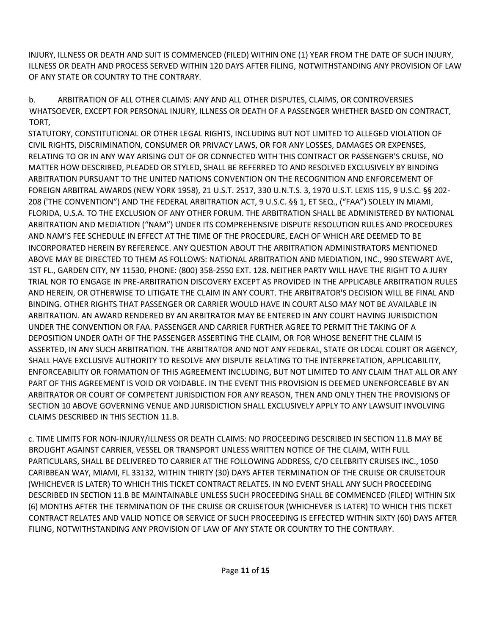INJURY, ILLNESS OR DEATH AND SUIT IS COMMENCED (FILED) WITHIN ONE (1) YEAR FROM THE DATE OF SUCH INJURY, ILLNESS OR DEATH AND PROCESS SERVED WITHIN 120 DAYS AFTER FILING, NOTWITHSTANDING ANY PROVISION OF LAW OF ANY STATE OR COUNTRY TO THE CONTRARY.

b. ARBITRATION OF ALL OTHER CLAIMS: ANY AND ALL OTHER DISPUTES, CLAIMS, OR CONTROVERSIES WHATSOEVER, EXCEPT FOR PERSONAL INJURY, ILLNESS OR DEATH OF A PASSENGER WHETHER BASED ON CONTRACT, TORT,

STATUTORY, CONSTITUTIONAL OR OTHER LEGAL RIGHTS, INCLUDING BUT NOT LIMITED TO ALLEGED VIOLATION OF CIVIL RIGHTS, DISCRIMINATION, CONSUMER OR PRIVACY LAWS, OR FOR ANY LOSSES, DAMAGES OR EXPENSES, RELATING TO OR IN ANY WAY ARISING OUT OF OR CONNECTED WITH THIS CONTRACT OR PASSENGER'S CRUISE, NO MATTER HOW DESCRIBED, PLEADED OR STYLED, SHALL BE REFERRED TO AND RESOLVED EXCLUSIVELY BY BINDING ARBITRATION PURSUANT TO THE UNITED NATIONS CONVENTION ON THE RECOGNITION AND ENFORCEMENT OF FOREIGN ARBITRAL AWARDS (NEW YORK 1958), 21 U.S.T. 2517, 330 U.N.T.S. 3, 1970 U.S.T. LEXIS 115, 9 U.S.C. §§ 202- 208 ('THE CONVENTION") AND THE FEDERAL ARBITRATION ACT, 9 U.S.C. §§ 1, ET SEQ., ("FAA") SOLELY IN MIAMI, FLORIDA, U.S.A. TO THE EXCLUSION OF ANY OTHER FORUM. THE ARBITRATION SHALL BE ADMINISTERED BY NATIONAL ARBITRATION AND MEDIATION ("NAM") UNDER ITS COMPREHENSIVE DISPUTE RESOLUTION RULES AND PROCEDURES AND NAM'S FEE SCHEDULE IN EFFECT AT THE TIME OF THE PROCEDURE, EACH OF WHICH ARE DEEMED TO BE INCORPORATED HEREIN BY REFERENCE. ANY QUESTION ABOUT THE ARBITRATION ADMINISTRATORS MENTIONED ABOVE MAY BE DIRECTED TO THEM AS FOLLOWS: NATIONAL ARBITRATION AND MEDIATION, INC., 990 STEWART AVE, 1ST FL., GARDEN CITY, NY 11530, PHONE: (800) 358-2550 EXT. 128. NEITHER PARTY WILL HAVE THE RIGHT TO A JURY TRIAL NOR TO ENGAGE IN PRE-ARBITRATION DISCOVERY EXCEPT AS PROVIDED IN THE APPLICABLE ARBITRATION RULES AND HEREIN, OR OTHERWISE TO LITIGATE THE CLAIM IN ANY COURT. THE ARBITRATOR'S DECISION WILL BE FINAL AND BINDING. OTHER RIGHTS THAT PASSENGER OR CARRIER WOULD HAVE IN COURT ALSO MAY NOT BE AVAILABLE IN ARBITRATION. AN AWARD RENDERED BY AN ARBITRATOR MAY BE ENTERED IN ANY COURT HAVING JURISDICTION UNDER THE CONVENTION OR FAA. PASSENGER AND CARRIER FURTHER AGREE TO PERMIT THE TAKING OF A DEPOSITION UNDER OATH OF THE PASSENGER ASSERTING THE CLAIM, OR FOR WHOSE BENEFIT THE CLAIM IS ASSERTED, IN ANY SUCH ARBITRATION. THE ARBITRATOR AND NOT ANY FEDERAL, STATE OR LOCAL COURT OR AGENCY, SHALL HAVE EXCLUSIVE AUTHORITY TO RESOLVE ANY DISPUTE RELATING TO THE INTERPRETATION, APPLICABILITY, ENFORCEABILITY OR FORMATION OF THIS AGREEMENT INCLUDING, BUT NOT LIMITED TO ANY CLAIM THAT ALL OR ANY PART OF THIS AGREEMENT IS VOID OR VOIDABLE. IN THE EVENT THIS PROVISION IS DEEMED UNENFORCEABLE BY AN ARBITRATOR OR COURT OF COMPETENT JURISDICTION FOR ANY REASON, THEN AND ONLY THEN THE PROVISIONS OF SECTION 10 ABOVE GOVERNING VENUE AND JURISDICTION SHALL EXCLUSIVELY APPLY TO ANY LAWSUIT INVOLVING CLAIMS DESCRIBED IN THIS SECTION 11.B.

c. TIME LIMITS FOR NON-INJURY/ILLNESS OR DEATH CLAIMS: NO PROCEEDING DESCRIBED IN SECTION 11.B MAY BE BROUGHT AGAINST CARRIER, VESSEL OR TRANSPORT UNLESS WRITTEN NOTICE OF THE CLAIM, WITH FULL PARTICULARS, SHALL BE DELIVERED TO CARRIER AT THE FOLLOWING ADDRESS, C/O CELEBRITY CRUISES INC., 1050 CARIBBEAN WAY, MIAMI, FL 33132, WITHIN THIRTY (30) DAYS AFTER TERMINATION OF THE CRUISE OR CRUISETOUR (WHICHEVER IS LATER) TO WHICH THIS TICKET CONTRACT RELATES. IN NO EVENT SHALL ANY SUCH PROCEEDING DESCRIBED IN SECTION 11.B BE MAINTAINABLE UNLESS SUCH PROCEEDING SHALL BE COMMENCED (FILED) WITHIN SIX (6) MONTHS AFTER THE TERMINATION OF THE CRUISE OR CRUISETOUR (WHICHEVER IS LATER) TO WHICH THIS TICKET CONTRACT RELATES AND VALID NOTICE OR SERVICE OF SUCH PROCEEDING IS EFFECTED WITHIN SIXTY (60) DAYS AFTER FILING, NOTWITHSTANDING ANY PROVISION OF LAW OF ANY STATE OR COUNTRY TO THE CONTRARY.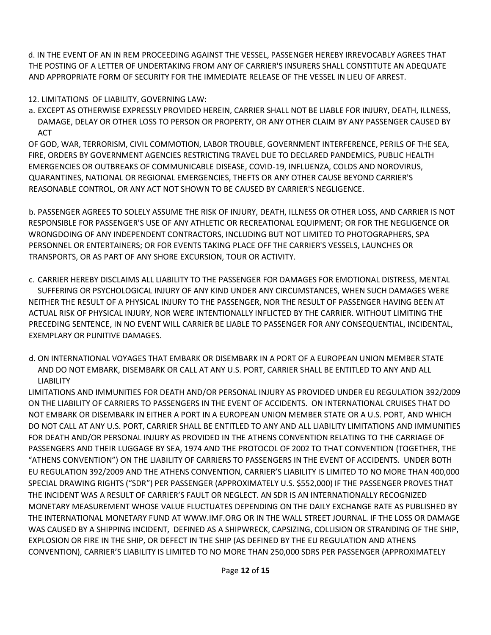d. IN THE EVENT OF AN IN REM PROCEEDING AGAINST THE VESSEL, PASSENGER HEREBY IRREVOCABLY AGREES THAT THE POSTING OF A LETTER OF UNDERTAKING FROM ANY OF CARRIER'S INSURERS SHALL CONSTITUTE AN ADEQUATE AND APPROPRIATE FORM OF SECURITY FOR THE IMMEDIATE RELEASE OF THE VESSEL IN LIEU OF ARREST.

12. LIMITATIONS OF LIABILITY, GOVERNING LAW:

a. EXCEPT AS OTHERWISE EXPRESSLY PROVIDED HEREIN, CARRIER SHALL NOT BE LIABLE FOR INJURY, DEATH, ILLNESS, DAMAGE, DELAY OR OTHER LOSS TO PERSON OR PROPERTY, OR ANY OTHER CLAIM BY ANY PASSENGER CAUSED BY **ACT** 

OF GOD, WAR, TERRORISM, CIVIL COMMOTION, LABOR TROUBLE, GOVERNMENT INTERFERENCE, PERILS OF THE SEA, FIRE, ORDERS BY GOVERNMENT AGENCIES RESTRICTING TRAVEL DUE TO DECLARED PANDEMICS, PUBLIC HEALTH EMERGENCIES OR OUTBREAKS OF COMMUNICABLE DISEASE, COVID-19, INFLUENZA, COLDS AND NOROVIRUS, QUARANTINES, NATIONAL OR REGIONAL EMERGENCIES, THEFTS OR ANY OTHER CAUSE BEYOND CARRIER'S REASONABLE CONTROL, OR ANY ACT NOT SHOWN TO BE CAUSED BY CARRIER'S NEGLIGENCE.

b. PASSENGER AGREES TO SOLELY ASSUME THE RISK OF INJURY, DEATH, ILLNESS OR OTHER LOSS, AND CARRIER IS NOT RESPONSIBLE FOR PASSENGER'S USE OF ANY ATHLETIC OR RECREATIONAL EQUIPMENT; OR FOR THE NEGLIGENCE OR WRONGDOING OF ANY INDEPENDENT CONTRACTORS, INCLUDING BUT NOT LIMITED TO PHOTOGRAPHERS, SPA PERSONNEL OR ENTERTAINERS; OR FOR EVENTS TAKING PLACE OFF THE CARRIER'S VESSELS, LAUNCHES OR TRANSPORTS, OR AS PART OF ANY SHORE EXCURSION, TOUR OR ACTIVITY.

c. CARRIER HEREBY DISCLAIMS ALL LIABILITY TO THE PASSENGER FOR DAMAGES FOR EMOTIONAL DISTRESS, MENTAL SUFFERING OR PSYCHOLOGICAL INJURY OF ANY KIND UNDER ANY CIRCUMSTANCES, WHEN SUCH DAMAGES WERE NEITHER THE RESULT OF A PHYSICAL INJURY TO THE PASSENGER, NOR THE RESULT OF PASSENGER HAVING BEEN AT ACTUAL RISK OF PHYSICAL INJURY, NOR WERE INTENTIONALLY INFLICTED BY THE CARRIER. WITHOUT LIMITING THE PRECEDING SENTENCE, IN NO EVENT WILL CARRIER BE LIABLE TO PASSENGER FOR ANY CONSEQUENTIAL, INCIDENTAL, EXEMPLARY OR PUNITIVE DAMAGES.

d. ON INTERNATIONAL VOYAGES THAT EMBARK OR DISEMBARK IN A PORT OF A EUROPEAN UNION MEMBER STATE AND DO NOT EMBARK, DISEMBARK OR CALL AT ANY U.S. PORT, CARRIER SHALL BE ENTITLED TO ANY AND ALL LIABILITY

LIMITATIONS AND IMMUNITIES FOR DEATH AND/OR PERSONAL INJURY AS PROVIDED UNDER EU REGULATION 392/2009 ON THE LIABILITY OF CARRIERS TO PASSENGERS IN THE EVENT OF ACCIDENTS. ON INTERNATIONAL CRUISES THAT DO NOT EMBARK OR DISEMBARK IN EITHER A PORT IN A EUROPEAN UNION MEMBER STATE OR A U.S. PORT, AND WHICH DO NOT CALL AT ANY U.S. PORT, CARRIER SHALL BE ENTITLED TO ANY AND ALL LIABILITY LIMITATIONS AND IMMUNITIES FOR DEATH AND/OR PERSONAL INJURY AS PROVIDED IN THE ATHENS CONVENTION RELATING TO THE CARRIAGE OF PASSENGERS AND THEIR LUGGAGE BY SEA, 1974 AND THE PROTOCOL OF 2002 TO THAT CONVENTION (TOGETHER, THE "ATHENS CONVENTION") ON THE LIABILITY OF CARRIERS TO PASSENGERS IN THE EVENT OF ACCIDENTS. UNDER BOTH EU REGULATION 392/2009 AND THE ATHENS CONVENTION, CARRIER'S LIABILITY IS LIMITED TO NO MORE THAN 400,000 SPECIAL DRAWING RIGHTS ("SDR") PER PASSENGER (APPROXIMATELY U.S. \$552,000) IF THE PASSENGER PROVES THAT THE INCIDENT WAS A RESULT OF CARRIER'S FAULT OR NEGLECT. AN SDR IS AN INTERNATIONALLY RECOGNIZED MONETARY MEASUREMENT WHOSE VALUE FLUCTUATES DEPENDING ON THE DAILY EXCHANGE RATE AS PUBLISHED BY THE INTERNATIONAL MONETARY FUND A[T WWW.IMF.ORG](http://www.imf.org/) OR IN THE WALL STREET JOURNAL. IF THE LOSS OR DAMAGE WAS CAUSED BY A SHIPPING INCIDENT, DEFINED AS A SHIPWRECK, CAPSIZING, COLLISION OR STRANDING OF THE SHIP, EXPLOSION OR FIRE IN THE SHIP, OR DEFECT IN THE SHIP (AS DEFINED BY THE EU REGULATION AND ATHENS CONVENTION), CARRIER'S LIABILITY IS LIMITED TO NO MORE THAN 250,000 SDRS PER PASSENGER (APPROXIMATELY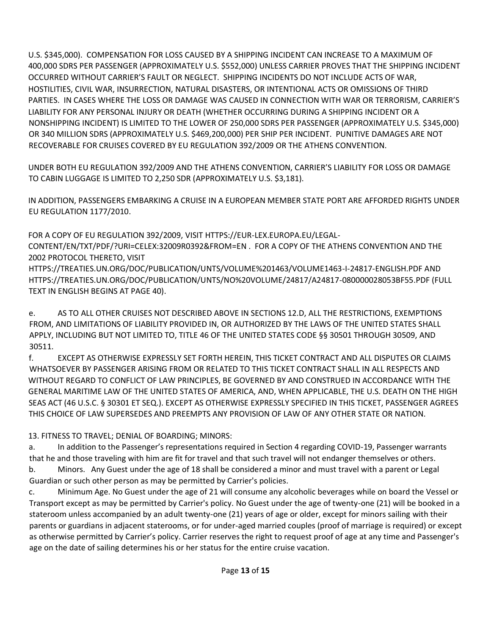U.S. \$345,000). COMPENSATION FOR LOSS CAUSED BY A SHIPPING INCIDENT CAN INCREASE TO A MAXIMUM OF 400,000 SDRS PER PASSENGER (APPROXIMATELY U.S. \$552,000) UNLESS CARRIER PROVES THAT THE SHIPPING INCIDENT OCCURRED WITHOUT CARRIER'S FAULT OR NEGLECT. SHIPPING INCIDENTS DO NOT INCLUDE ACTS OF WAR, HOSTILITIES, CIVIL WAR, INSURRECTION, NATURAL DISASTERS, OR INTENTIONAL ACTS OR OMISSIONS OF THIRD PARTIES. IN CASES WHERE THE LOSS OR DAMAGE WAS CAUSED IN CONNECTION WITH WAR OR TERRORISM, CARRIER'S LIABILITY FOR ANY PERSONAL INJURY OR DEATH (WHETHER OCCURRING DURING A SHIPPING INCIDENT OR A NONSHIPPING INCIDENT) IS LIMITED TO THE LOWER OF 250,000 SDRS PER PASSENGER (APPROXIMATELY U.S. \$345,000) OR 340 MILLION SDRS (APPROXIMATELY U.S. \$469,200,000) PER SHIP PER INCIDENT. PUNITIVE DAMAGES ARE NOT RECOVERABLE FOR CRUISES COVERED BY EU REGULATION 392/2009 OR THE ATHENS CONVENTION.

UNDER BOTH EU REGULATION 392/2009 AND THE ATHENS CONVENTION, CARRIER'S LIABILITY FOR LOSS OR DAMAGE TO CABIN LUGGAGE IS LIMITED TO 2,250 SDR (APPROXIMATELY U.S. \$3,181).

IN ADDITION, PASSENGERS EMBARKING A CRUISE IN A EUROPEAN MEMBER STATE PORT ARE AFFORDED RIGHTS UNDER EU REGULATION 1177/2010.

FOR A COPY OF EU REGULATION 392/2009, VISIT HTTPS://EUR-LEX.EUROPA.EU/LEGAL-CONTENT/EN/TXT/PDF/?URI=CELEX:32009R0392&FROM=EN . FOR A COPY OF THE ATHENS CONVENTION AND THE 2002 PROTOCOL THERETO, VISIT

HTTPS://TREATIES.UN.ORG/DOC/PUBLICATION/UNTS/VOLUME%201463/VOLUME1463-I-24817-ENGLISH.PDF AND HTTPS://TREATIES.UN.ORG/DOC/PUBLICATION/UNTS/NO%20VOLUME/24817/A24817-080000028053BF55.PDF (FULL TEXT IN ENGLISH BEGINS AT PAGE 40).

e. AS TO ALL OTHER CRUISES NOT DESCRIBED ABOVE IN SECTIONS 12.D, ALL THE RESTRICTIONS, EXEMPTIONS FROM, AND LIMITATIONS OF LIABILITY PROVIDED IN, OR AUTHORIZED BY THE LAWS OF THE UNITED STATES SHALL APPLY, INCLUDING BUT NOT LIMITED TO, TITLE 46 OF THE UNITED STATES CODE §§ 30501 THROUGH 30509, AND 30511.

f. EXCEPT AS OTHERWISE EXPRESSLY SET FORTH HEREIN, THIS TICKET CONTRACT AND ALL DISPUTES OR CLAIMS WHATSOEVER BY PASSENGER ARISING FROM OR RELATED TO THIS TICKET CONTRACT SHALL IN ALL RESPECTS AND WITHOUT REGARD TO CONFLICT OF LAW PRINCIPLES, BE GOVERNED BY AND CONSTRUED IN ACCORDANCE WITH THE GENERAL MARITIME LAW OF THE UNITED STATES OF AMERICA, AND, WHEN APPLICABLE, THE U.S. DEATH ON THE HIGH SEAS ACT (46 U.S.C. § 30301 ET SEQ.). EXCEPT AS OTHERWISE EXPRESSLY SPECIFIED IN THIS TICKET, PASSENGER AGREES THIS CHOICE OF LAW SUPERSEDES AND PREEMPTS ANY PROVISION OF LAW OF ANY OTHER STATE OR NATION.

13. FITNESS TO TRAVEL; DENIAL OF BOARDING; MINORS:

a. In addition to the Passenger's representations required in Section 4 regarding COVID-19, Passenger warrants that he and those traveling with him are fit for travel and that such travel will not endanger themselves or others.

b. Minors. Any Guest under the age of 18 shall be considered a minor and must travel with a parent or Legal Guardian or such other person as may be permitted by Carrier's policies.

c. Minimum Age. No Guest under the age of 21 will consume any alcoholic beverages while on board the Vessel or Transport except as may be permitted by Carrier's policy. No Guest under the age of twenty-one (21) will be booked in a stateroom unless accompanied by an adult twenty-one (21) years of age or older, except for minors sailing with their parents or guardians in adjacent staterooms, or for under-aged married couples (proof of marriage is required) or except as otherwise permitted by Carrier's policy. Carrier reserves the right to request proof of age at any time and Passenger's age on the date of sailing determines his or her status for the entire cruise vacation.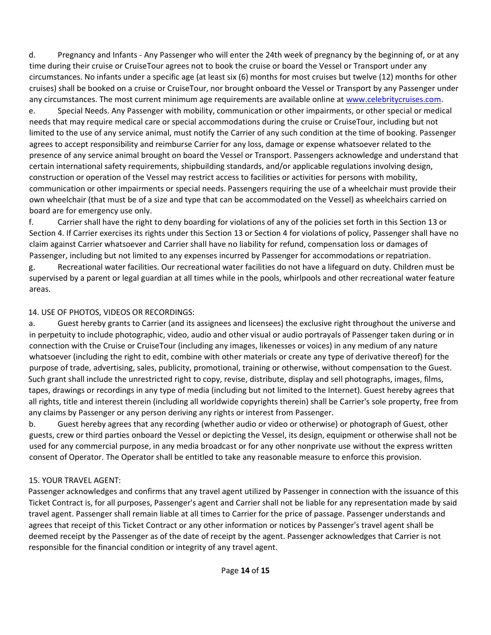d. Pregnancy and Infants - Any Passenger who will enter the 24th week of pregnancy by the beginning of, or at any time during their cruise or CruiseTour agrees not to book the cruise or board the Vessel or Transport under any circumstances. No infants under a specific age (at least six (6) months for most cruises but twelve (12) months for other cruises) shall be booked on a cruise or CruiseTour, nor brought onboard the Vessel or Transport by any Passenger under any circumstances. The most current minimum age requirements are available online a[t www.celebritycruises.com](http://www.celebritycruises.com/)[.](http://www.royalcaribbean.com/)

e. Special Needs. Any Passenger with mobility, communication or other impairments, or other special or medical needs that may require medical care or special accommodations during the cruise or CruiseTour, including but not limited to the use of any service animal, must notify the Carrier of any such condition at the time of booking. Passenger agrees to accept responsibility and reimburse Carrier for any loss, damage or expense whatsoever related to the presence of any service animal brought on board the Vessel or Transport. Passengers acknowledge and understand that certain international safety requirements, shipbuilding standards, and/or applicable regulations involving design, construction or operation of the Vessel may restrict access to facilities or activities for persons with mobility, communication or other impairments or special needs. Passengers requiring the use of a wheelchair must provide their own wheelchair (that must be of a size and type that can be accommodated on the Vessel) as wheelchairs carried on board are for emergency use only.

f. Carrier shall have the right to deny boarding for violations of any of the policies set forth in this Section 13 or Section 4. If Carrier exercises its rights under this Section 13 or Section 4 for violations of policy, Passenger shall have no claim against Carrier whatsoever and Carrier shall have no liability for refund, compensation loss or damages of Passenger, including but not limited to any expenses incurred by Passenger for accommodations or repatriation.

g. Recreational water facilities. Our recreational water facilities do not have a lifeguard on duty. Children must be supervised by a parent or legal guardian at all times while in the pools, whirlpools and other recreational water feature areas.

## 14. USE OF PHOTOS, VIDEOS OR RECORDINGS:

a. Guest hereby grants to Carrier (and its assignees and licensees) the exclusive right throughout the universe and in perpetuity to include photographic, video, audio and other visual or audio portrayals of Passenger taken during or in connection with the Cruise or CruiseTour (including any images, likenesses or voices) in any medium of any nature whatsoever (including the right to edit, combine with other materials or create any type of derivative thereof) for the purpose of trade, advertising, sales, publicity, promotional, training or otherwise, without compensation to the Guest. Such grant shall include the unrestricted right to copy, revise, distribute, display and sell photographs, images, films, tapes, drawings or recordings in any type of media (including but not limited to the Internet). Guest hereby agrees that all rights, title and interest therein (including all worldwide copyrights therein) shall be Carrier's sole property, free from any claims by Passenger or any person deriving any rights or interest from Passenger.

b. Guest hereby agrees that any recording (whether audio or video or otherwise) or photograph of Guest, other guests, crew or third parties onboard the Vessel or depicting the Vessel, its design, equipment or otherwise shall not be used for any commercial purpose, in any media broadcast or for any other nonprivate use without the express written consent of Operator. The Operator shall be entitled to take any reasonable measure to enforce this provision.

# 15. YOUR TRAVEL AGENT:

Passenger acknowledges and confirms that any travel agent utilized by Passenger in connection with the issuance of this Ticket Contract is, for all purposes, Passenger's agent and Carrier shall not be liable for any representation made by said travel agent. Passenger shall remain liable at all times to Carrier for the price of passage. Passenger understands and agrees that receipt of this Ticket Contract or any other information or notices by Passenger's travel agent shall be deemed receipt by the Passenger as of the date of receipt by the agent. Passenger acknowledges that Carrier is not responsible for the financial condition or integrity of any travel agent.